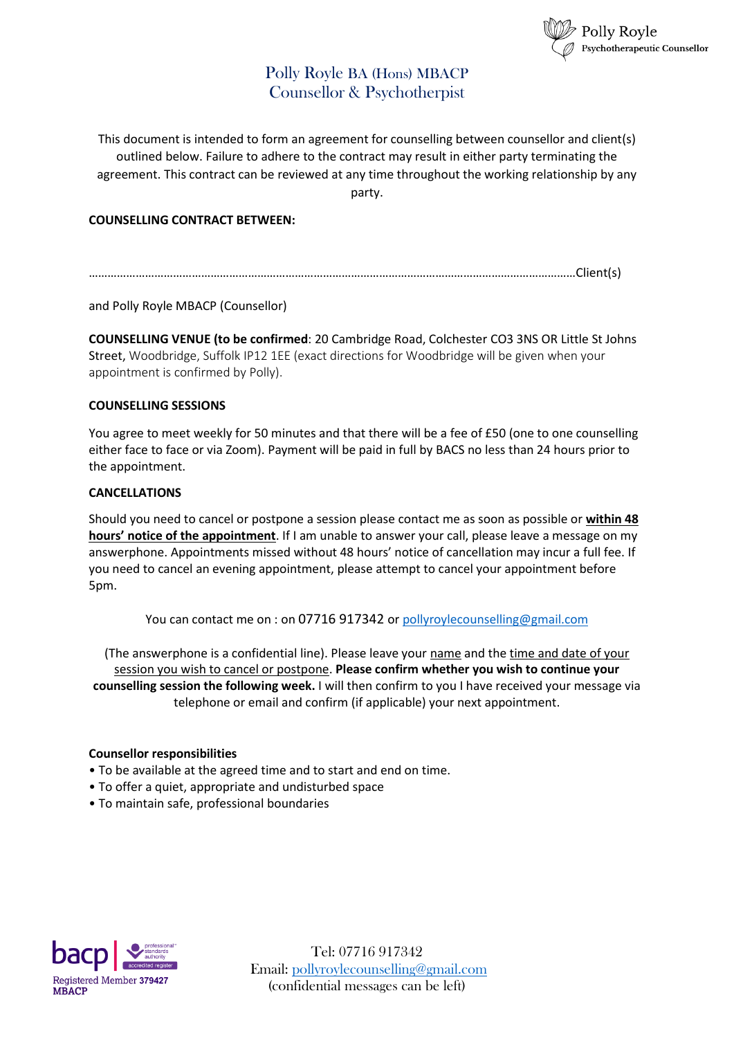| <b>OB</b> Polly Royle        |
|------------------------------|
| Psychotherapeutic Counsellor |

## Polly Royle BA (Hons) MBACP Counsellor & Psychotherpist

This document is intended to form an agreement for counselling between counsellor and client(s) outlined below. Failure to adhere to the contract may result in either party terminating the agreement. This contract can be reviewed at any time throughout the working relationship by any party.

#### **COUNSELLING CONTRACT BETWEEN:**

…………………………………………………………………………………………………………………………………………Client(s)

and Polly Royle MBACP (Counsellor)

**COUNSELLING VENUE (to be confirmed**: 20 Cambridge Road, Colchester CO3 3NS OR Little St Johns Street, Woodbridge, Suffolk IP12 1EE (exact directions for Woodbridge will be given when your appointment is confirmed by Polly).

#### **COUNSELLING SESSIONS**

You agree to meet weekly for 50 minutes and that there will be a fee of £50 (one to one counselling either face to face or via Zoom). Payment will be paid in full by BACS no less than 24 hours prior to the appointment.

#### **CANCELLATIONS**

Should you need to cancel or postpone a session please contact me as soon as possible or **within 48 hours' notice of the appointment**. If I am unable to answer your call, please leave a message on my answerphone. Appointments missed without 48 hours' notice of cancellation may incur a full fee. If you need to cancel an evening appointment, please attempt to cancel your appointment before 5pm.

You can contact me on : on 07716 917342 o[r pollyroylecounselling@gmail.com](mailto:pollyroylecounselling@gmail.com)

(The answerphone is a confidential line). Please leave your name and the time and date of your session you wish to cancel or postpone. **Please confirm whether you wish to continue your counselling session the following week.** I will then confirm to you I have received your message via telephone or email and confirm (if applicable) your next appointment.

#### **Counsellor responsibilities**

- To be available at the agreed time and to start and end on time.
- To offer a quiet, appropriate and undisturbed space
- To maintain safe, professional boundaries



Tel: 07716 917342 Email: [pollyroylecounselling@gmail.com](mailto:pollyroylecounselling@gmail.com) (confidential messages can be left)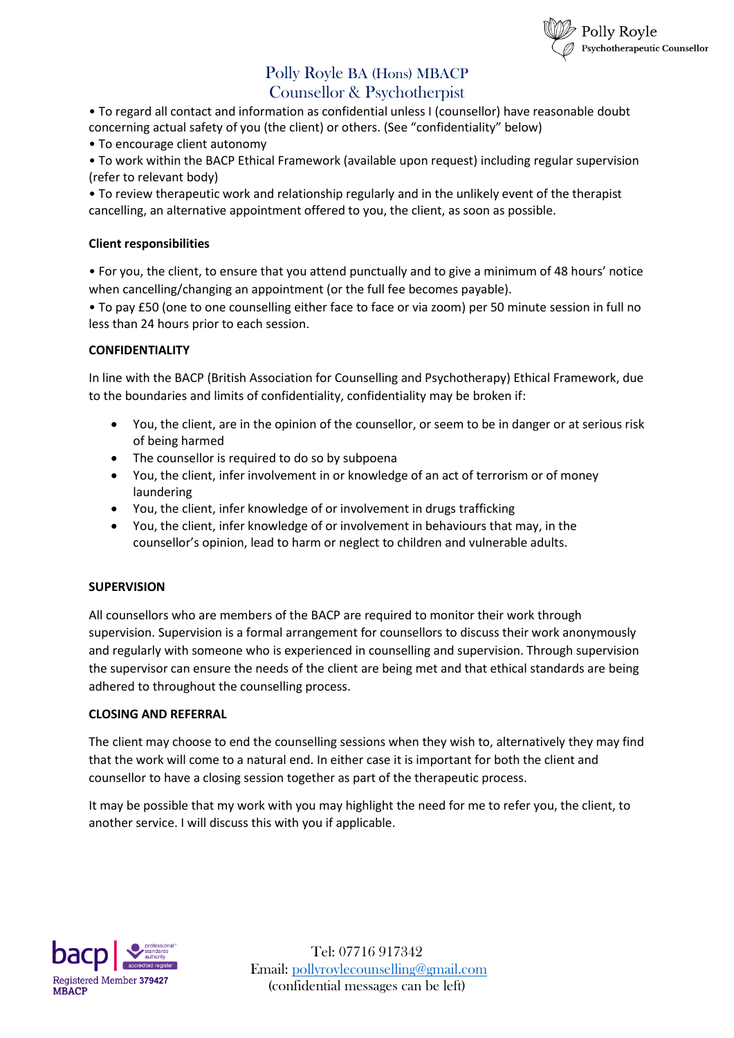| <b>OB</b> Polly Royle       |
|-----------------------------|
| Rychotherapeutic Counsellor |

# Polly Royle BA (Hons) MBACP Counsellor & Psychotherpist

• To regard all contact and information as confidential unless I (counsellor) have reasonable doubt concerning actual safety of you (the client) or others. (See "confidentiality" below)

• To encourage client autonomy

• To work within the BACP Ethical Framework (available upon request) including regular supervision (refer to relevant body)

• To review therapeutic work and relationship regularly and in the unlikely event of the therapist cancelling, an alternative appointment offered to you, the client, as soon as possible.

## **Client responsibilities**

• For you, the client, to ensure that you attend punctually and to give a minimum of 48 hours' notice when cancelling/changing an appointment (or the full fee becomes payable).

• To pay £50 (one to one counselling either face to face or via zoom) per 50 minute session in full no less than 24 hours prior to each session.

## **CONFIDENTIALITY**

In line with the BACP (British Association for Counselling and Psychotherapy) Ethical Framework, due to the boundaries and limits of confidentiality, confidentiality may be broken if:

- You, the client, are in the opinion of the counsellor, or seem to be in danger or at serious risk of being harmed
- The counsellor is required to do so by subpoena
- You, the client, infer involvement in or knowledge of an act of terrorism or of money laundering
- You, the client, infer knowledge of or involvement in drugs trafficking
- You, the client, infer knowledge of or involvement in behaviours that may, in the counsellor's opinion, lead to harm or neglect to children and vulnerable adults.

## **SUPERVISION**

All counsellors who are members of the BACP are required to monitor their work through supervision. Supervision is a formal arrangement for counsellors to discuss their work anonymously and regularly with someone who is experienced in counselling and supervision. Through supervision the supervisor can ensure the needs of the client are being met and that ethical standards are being adhered to throughout the counselling process.

## **CLOSING AND REFERRAL**

The client may choose to end the counselling sessions when they wish to, alternatively they may find that the work will come to a natural end. In either case it is important for both the client and counsellor to have a closing session together as part of the therapeutic process.

It may be possible that my work with you may highlight the need for me to refer you, the client, to another service. I will discuss this with you if applicable.